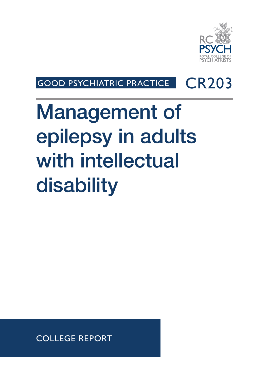

## GOOD PSYCHIATRIC PRACTICE | CR203

# Management of epilepsy in adults with intellectual disability

COLLEGE REPORT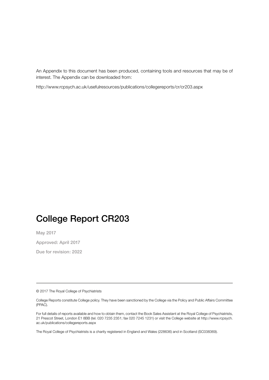An Appendix to this document has been produced, containing tools and resources that may be of interest. The Appendix can be downloaded from:

http://www.rcpsych.ac.uk/usefulresources/publications/collegereports/cr/cr203.aspx

## College Report CR203

May 2017

Approved: April 2017

Due for revision: 2022

© 2017 The Royal College of Psychiatrists

For full details of reports available and how to obtain them, contact the Book Sales Assistant at the Royal College of Psychiatrists, 21 Prescot Street, London E1 8BB (tel. 020 7235 2351; fax 020 7245 1231) or visit the College website at http://www.rcpsych. ac.uk/publications/collegereports.aspx

The Royal College of Psychiatrists is a charity registered in England and Wales (228636) and in Scotland (SC038369).

College Reports constitute College policy. They have been sanctioned by the College via the Policy and Public Affairs Committee (PPAC).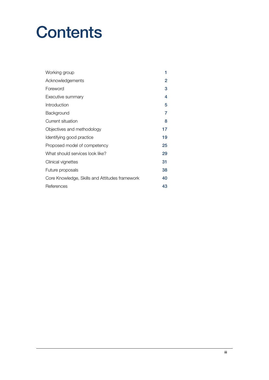# **Contents**

| Working group                                  | 1  |
|------------------------------------------------|----|
| Acknowledgements                               | 2  |
| Foreword                                       | 3  |
| Executive summary                              | 4  |
| Introduction                                   | 5  |
| Background                                     | 7  |
| Current situation                              | 8  |
| Objectives and methodology                     | 17 |
| Identifying good practice                      | 19 |
| Proposed model of competency                   | 25 |
| What should services look like?                | 29 |
| Clinical vignettes                             | 31 |
| Future proposals                               | 38 |
| Core Knowledge, Skills and Attitudes framework | 40 |
| References                                     | 43 |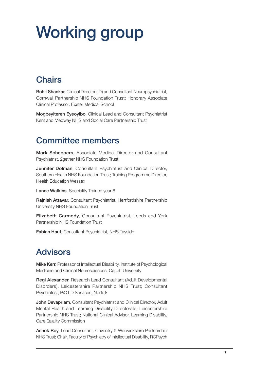# Working group

## **Chairs**

Rohit Shankar, Clinical Director (ID) and Consultant Neuropsychiatrist, Cornwall Partnership NHS Foundation Trust; Honorary Associate Clinical Professor, Exeter Medical School

Mogbeyiteren Eyeoyibo, Clinical Lead and Consultant Psychiatrist Kent and Medway NHS and Social Care Partnership Trust

### Committee members

Mark Scheepers, Associate Medical Director and Consultant Psychiatrist, 2gether NHS Foundation Trust

Jennifer Dolman, Consultant Psychiatrist and Clinical Director, Southern Health NHS Foundation Trust; Training Programme Director, Health Education Wessex

Lance Watkins, Speciality Trainee year 6

Rajnish Attavar, Consultant Psychiatrist, Hertfordshire Partnership University NHS Foundation Trust

Elizabeth Carmody, Consultant Psychiatrist, Leeds and York Partnership NHS Foundation Trust

Fabian Haut, Consultant Psychiatrist, NHS Tayside

## Advisors

Mike Kerr, Professor of Intellectual Disability, Institute of Psychological Medicine and Clinical Neurosciences, Cardiff University

Regi Alexander, Research Lead Consultant (Adult Developmental Disorders), Leicestershire Partnership NHS Trust; Consultant Psychiatrist, PiC LD Services, Norfolk

John Devapriam, Consultant Psychiatrist and Clinical Director, Adult Mental Health and Learning Disability Directorate, Leicestershire Partnership NHS Trust; National Clinical Advisor, Learning Disability, Care Quality Commission

Ashok Roy, Lead Consultant, Coventry & Warwickshire Partnership NHS Trust; Chair, Faculty of Psychiatry of Intellectual Disability, RCPsych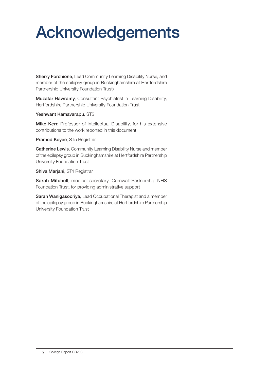# Acknowledgements

Sherry Forchione, Lead Community Learning Disability Nurse, and member of the epilepsy group in Buckinghamshire at Hertfordshire Partnership University Foundation Trust)

Muzafar Hawramy, Consultant Psychiatrist in Learning Disability, Hertfordshire Partnership University Foundation Trust

Yeshwant Kamavarapu, ST5

Mike Kerr, Professor of Intellectual Disability, for his extensive contributions to the work reported in this document

Pramod Koyee, ST5 Registrar

Catherine Lewis, Community Learning Disability Nurse and member of the epilepsy group in Buckinghamshire at Hertfordshire Partnership University Foundation Trust

Shiva Marjani, ST4 Registrar

Sarah Mitchell, medical secretary, Cornwall Partnership NHS Foundation Trust, for providing administrative support

Sarah Wanigasooriya, Lead Occupational Therapist and a member of the epilepsy group in Buckinghamshire at Hertfordshire Partnership University Foundation Trust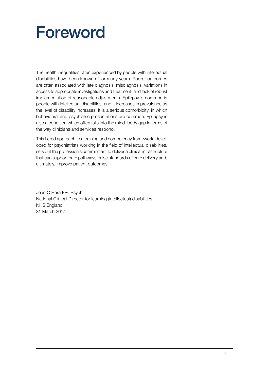# Foreword

The health inequalities often experienced by people with intellectual disabilities have been known of for many years. Poorer outcomes are often associated with late diagnosis, misdiagnosis, variations in access to appropriate investigations and treatment, and lack of robust implementation of reasonable adjustments. Epilepsy is common in people with intellectual disabilities, and it increases in prevalence as the level of disability increases. It is a serious comorbidity, in which behavioural and psychiatric presentations are common. Epilepsy is also a condition which often falls into the mind–body gap in terms of the way clinicians and services respond.

This tiered approach to a training and competency framework, developed for psychiatrists working in the field of intellectual disabilities, sets out the profession's commitment to deliver a clinical infrastructure that can support care pathways, raise standards of care delivery and, ultimately, improve patient outcomes.

Jean O'Hara FRCPsych National Clinical Director for learning (intellectual) disabilities NHS England 31 March 2017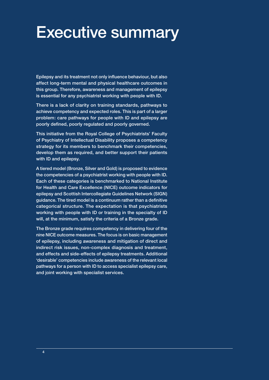## Executive summary

Epilepsy and its treatment not only influence behaviour, but also affect long-term mental and physical healthcare outcomes in this group. Therefore, awareness and management of epilepsy is essential for any psychiatrist working with people with ID.

There is a lack of clarity on training standards, pathways to achieve competency and expected roles. This is part of a larger problem: care pathways for people with ID and epilepsy are poorly defined, poorly regulated and poorly governed.

This initiative from the Royal College of Psychiatrists' Faculty of Psychiatry of Intellectual Disability proposes a competency strategy for its members to benchmark their competencies, develop them as required, and better support their patients with ID and epilepsy.

A tiered model (Bronze, Silver and Gold) is proposed to evidence the competencies of a psychiatrist working with people with ID. Each of these categories is benchmarked to National Institute for Health and Care Excellence (NICE) outcome indicators for epilepsy and Scottish Intercollegiate Guidelines Network (SIGN) guidance. The tired model is a continuum rather than a definitive categorical structure. The expectation is that psychiatrists working with people with ID or training in the specialty of ID will, at the minimum, satisfy the criteria of a Bronze grade.

The Bronze grade requires competency in delivering four of the nine NICE outcome measures. The focus is on basic management of epilepsy, including awareness and mitigation of direct and indirect risk issues, non-complex diagnosis and treatment, and effects and side-effects of epilepsy treatments. Additional 'desirable' competencies include awareness of the relevant local pathways for a person with ID to access specialist epilepsy care, and joint working with specialist services.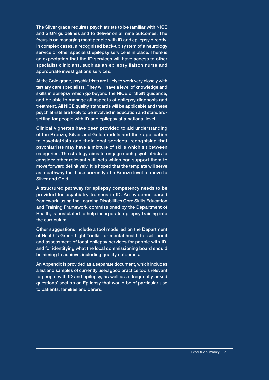The Silver grade requires psychiatrists to be familiar with NICE and SIGN guidelines and to deliver on all nine outcomes. The focus is on managing most people with ID and epilepsy directly. In complex cases, a recognised back-up system of a neurology service or other specialist epilepsy service is in place. There is an expectation that the ID services will have access to other specialist clinicians, such as an epilepsy liaison nurse and appropriate investigations services.

At the Gold grade, psychiatrists are likely to work very closely with tertiary care specialists. They will have a level of knowledge and skills in epilepsy which go beyond the NICE or SIGN guidance, and be able to manage all aspects of epilepsy diagnosis and treatment. All NICE quality standards will be applicable and these psychiatrists are likely to be involved in education and standardsetting for people with ID and epilepsy at a national level.

Clinical vignettes have been provided to aid understanding of the Bronze, Silver and Gold models and their application to psychiatrists and their local services, recognising that psychiatrists may have a mixture of skills which sit between categories. The strategy aims to engage such psychiatrists to consider other relevant skill sets which can support them to move forward definitively. It is hoped that the template will serve as a pathway for those currently at a Bronze level to move to Silver and Gold.

A structured pathway for epilepsy competency needs to be provided for psychiatry trainees in ID. An evidence-based framework, using the Learning Disabilities Core Skills Education and Training Framework commissioned by the Department of Health, is postulated to help incorporate epilepsy training into the curriculum.

Other suggestions include a tool modelled on the Department of Health's Green Light Toolkit for mental health for self-audit and assessment of local epilepsy services for people with ID, and for identifying what the local commissioning board should be aiming to achieve, including quality outcomes.

An Appendix is provided as a separate document, which includes a list and samples of currently used good practice tools relevant to people with ID and epilepsy, as well as a 'frequently asked questions' section on Epilepsy that would be of particular use to patients, families and carers.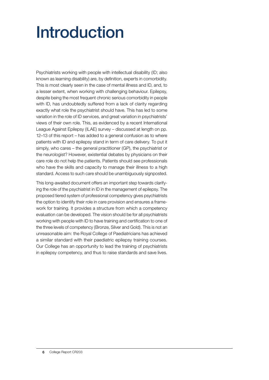# Introduction

Psychiatrists working with people with intellectual disability (ID; also known as learning disability) are, by definition, experts in comorbidity. This is most clearly seen in the case of mental illness and ID, and, to a lesser extent, when working with challenging behaviour. Epilepsy, despite being the most frequent chronic serious comorbidity in people with ID, has undoubtedly suffered from a lack of clarity regarding exactly what role the psychiatrist should have. This has led to some variation in the role of ID services, and great variation in psychiatrists' views of their own role. This, as evidenced by a recent International League Against Epilepsy (ILAE) survey – discussed at length on pp. 12–13 of this report – has added to a general confusion as to where patients with ID and epilepsy stand in term of care delivery. To put it simply, who cares – the general practitioner (GP), the psychiatrist or the neurologist? However, existential debates by physicians on their care role do not help the patients. Patients should see professionals who have the skills and capacity to manage their illness to a high standard. Access to such care should be unambiguously signposted.

This long-awaited document offers an important step towards clarifying the role of the psychiatrist in ID in the management of epilepsy. The proposed tiered system of professional competency gives psychiatrists the option to identify their role in care provision and ensures a framework for training. It provides a structure from which a competency evaluation can be developed. The vision should be for all psychiatrists working with people with ID to have training and certification to one of the three levels of competency (Bronze, Silver and Gold). This is not an unreasonable aim: the Royal College of Paediatricians has achieved a similar standard with their paediatric epilepsy training courses. Our College has an opportunity to lead the training of psychiatrists in epilepsy competency, and thus to raise standards and save lives.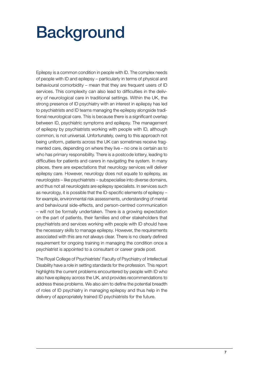# **Background**

Epilepsy is a common condition in people with ID. The complex needs of people with ID and epilepsy – particularly in terms of physical and behavioural comorbidity – mean that they are frequent users of ID services. This complexity can also lead to difficulties in the delivery of neurological care in traditional settings. Within the UK, the strong presence of ID psychiatry with an interest in epilepsy has led to psychiatrists and ID teams managing the epilepsy alongside traditional neurological care. This is because there is a significant overlap between ID, psychiatric symptoms and epilepsy. The management of epilepsy by psychiatrists working with people with ID, although common, is not universal. Unfortunately, owing to this approach not being uniform, patients across the UK can sometimes receive fragmented care, depending on where they live – no one is certain as to who has primary responsibility. There is a postcode lottery, leading to difficulties for patients and carers in navigating the system. In many places, there are expectations that neurology services will deliver epilepsy care. However, neurology does not equate to epilepsy, as neurologists – like psychiatrists – subspecialise into diverse domains, and thus not all neurologists are epilepsy specialists. In services such as neurology, it is possible that the ID-specific elements of epilepsy – for example, environmental risk assessments, understanding of mental and behavioural side-effects, and person-centred communication – will not be formally undertaken. There is a growing expectation on the part of patients, their families and other stakeholders that psychiatrists and services working with people with ID should have the necessary skills to manage epilepsy. However, the requirements associated with this are not always clear. There is no clearly defined requirement for ongoing training in managing the condition once a psychiatrist is appointed to a consultant or career grade post.

The Royal College of Psychiatrists' Faculty of Psychiatry of Intellectual Disability have a role in setting standards for the profession. This report highlights the current problems encountered by people with ID who also have epilepsy across the UK, and provides recommendations to address these problems. We also aim to define the potential breadth of roles of ID psychiatry in managing epilepsy and thus help in the delivery of appropriately trained ID psychiatrists for the future.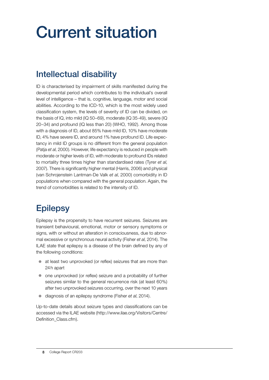# Current situation

## Intellectual disability

ID is characterised by impairment of skills manifested during the developmental period which contributes to the individual's overall level of intelligence – that is, cognitive, language, motor and social abilities. According to the ICD-10, which is the most widely used classification system, the levels of severity of ID can be divided, on the basis of IQ, into mild (IQ 50–69), moderate (IQ 35-49), severe (IQ 20–34) and profound (IQ less than 20) (WHO, 1992). Among those with a diagnosis of ID, about 85% have mild ID, 10% have moderate ID, 4% have severe ID, and around 1% have profound ID. Life expectancy in mild ID groups is no different from the general population (Patja *et al*, 2000). However, life expectancy is reduced in people with moderate or higher levels of ID, with moderate to profound IDs related to mortality three times higher than standardised rates (Tyrer *et al*, 2007). There is significantly higher mental (Harris, 2006) and physical (van Schrojenstein Lantman-De Valk *et al*, 2000) comorbidity in ID populations when compared with the general population. Again, the trend of comorbidities is related to the intensity of ID.

## **Epilepsy**

Epilepsy is the propensity to have recurrent seizures. Seizures are transient behavioural, emotional, motor or sensory symptoms or signs, with or without an alteration in consciousness, due to abnormal excessive or synchronous neural activity (Fisher *et al*, 2014). The ILAE state that epilepsy is a disease of the brain defined by any of the following conditions:

- $\bullet$  at least two unprovoked (or reflex) seizures that are more than 24h apart
- $\bullet$  one unprovoked (or reflex) seizure and a probability of further seizures similar to the general recurrence risk (at least 60%) after two unprovoked seizures occurring, over the next 10 years
- z diagnosis of an epilepsy syndrome (Fisher *et al*, 2014).

Up-to-date details about seizure types and classifications can be accessed via the ILAE website (http://www.ilae.org/Visitors/Centre/ Definition Class.cfm).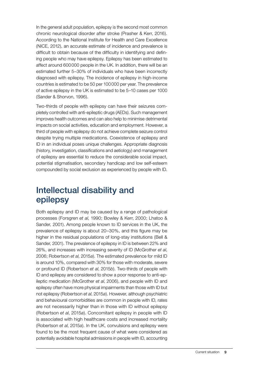In the general adult population, epilepsy is the second most common chronic neurological disorder after stroke (Prasher & Kerr, 2016). According to the National Institute for Health and Care Excellence (NICE, 2012), an accurate estimate of incidence and prevalence is difficult to obtain because of the difficulty in identifying and defining people who may have epilepsy. Epilepsy has been estimated to affect around 600000 people in the UK. In addition, there will be an estimated further 5–30% of individuals who have been incorrectly diagnosed with epilepsy. The incidence of epilepsy in high-income countries is estimated to be 50 per 100000 per year. The prevalence of active epilepsy in the UK is estimated to be 5–10 cases per 1000 (Sander & Shorvon, 1996).

Two-thirds of people with epilepsy can have their seizures completely controlled with anti-epileptic drugs (AEDs). Such management improves health outcomes and can also help to minimise detrimental impacts on social activities, education and employment. However, a third of people with epilepsy do not achieve complete seizure control despite trying multiple medications. Coexistence of epilepsy and ID in an individual poses unique challenges. Appropriate diagnosis (history, investigation, classifications and aetiology) and management of epilepsy are essential to reduce the considerable social impact, potential stigmatisation, secondary handicap and low self-esteem compounded by social exclusion as experienced by people with ID.

### Intellectual disability and epilepsy

Both epilepsy and ID may be caused by a range of pathological processes (Forsgren *et al*, 1990; Bowley & Kerr, 2000; Lhatoo & Sander, 2001). Among people known to ID services in the UK, the prevalence of epilepsy is about 20–30%, and this figure may be higher in the residual populations of long-stay institutions (Bell & Sander, 2001). The prevalence of epilepsy in ID is between 22% and 26%, and increases with increasing severity of ID (McGrother *et al*, 2006; Robertson *et al*, 2015*a*). The estimated prevalence for mild ID is around 10%, compared with 30% for those with moderate, severe or profound ID (Robertson *et al*, 2015*b*). Two-thirds of people with ID and epilepsy are considered to show a poor response to anti-epileptic medication (McGrother *et al*, 2006), and people with ID and epilepsy often have more physical impairments than those with ID but not epilepsy (Robertson *et al*, 2015*a*). However, although psychiatric and behavioural comorbidities are common in people with ID, rates are not necessarily higher than in those with ID without epilepsy (Robertson *et al*, 2015*a*). Concomitant epilepsy in people with ID is associated with high healthcare costs and increased mortality (Robertson *et al*, 2015*a*). In the UK, convulsions and epilepsy were found to be the most frequent cause of what were considered as potentially avoidable hospital admissions in people with ID, accounting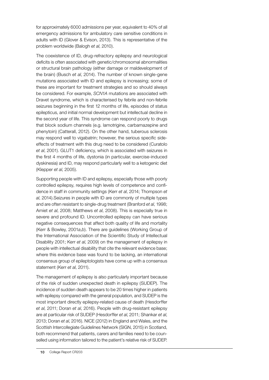for approximately 6000 admissions per year, equivalent to 40% of all emergency admissions for ambulatory care sensitive conditions in adults with ID (Glover & Evison, 2013). This is representative of the problem worldwide (Balogh *et al*, 2010).

The coexistence of ID, drug-refractory epilepsy and neurological deficits is often associated with genetic/chromosomal abnormalities or structural brain pathology (either damage or maldevelopment of the brain) (Busch *et al*, 2014). The number of known single-gene mutations associated with ID and epilepsy is increasing; some of these are important for treatment strategies and so should always be considered. For example, *SCN1A* mutations are associated with Dravet syndrome, which is characterised by febrile and non-febrile seizures beginning in the first 12 months of life, episodes of status epilepticus, and initial normal development but intellectual decline in the second year of life. This syndrome can respond poorly to drugs that block sodium channels (e.g. lamotrigine, carbamazepine and phenytoin) (Catterall, 2012). On the other hand, tuberous sclerosis may respond well to vigabatrin; however, the serious specific sideeffects of treatment with this drug need to be considered (Curatolo *et al*, 2001). GLUT1 deficiency, which is associated with seizures in the first 4 months of life, dystonia (in particular, exercise-induced dyskinesia) and ID, may respond particularly well to a ketogenic diet (Klepper *et al*, 2005).

Supporting people with ID and epilepsy, especially those with poorly controlled epilepsy, requires high levels of competence and confidence in staff in community settings (Kerr *et al*, 2014; Thompson *et al*, 2014).Seizures in people with ID are commonly of multiple types and are often resistant to single-drug treatment (Branford *et al*, 1998; Amiet *et al*, 2008; Matthews *et al*, 2008). This is especially true in severe and profound ID. Uncontrolled epilepsy can have serious negative consequences that affect both quality of life and mortality (Kerr & Bowley, 2001*a*,*b*). There are guidelines (Working Group of the International Association of the Scientific Study of Intellectual Disability 2001; Kerr *et al*, 2009) on the management of epilepsy in people with intellectual disability that cite the relevant evidence base; where this evidence base was found to be lacking, an international consensus group of epileptologists have come up with a consensus statement (Kerr *et al*, 2011).

The management of epilepsy is also particularly important because of the risk of sudden unexpected death in epilepsy (SUDEP). The incidence of sudden death appears to be 20 times higher in patients with epilepsy compared with the general population, and SUDEP is the most important directly epilepsy-related cause of death (Hesdorffer *et al*, 2011; Doran *et al*, 2016). People with drug-resistant epilepsy are at particular risk of SUDEP (Hesdorffer *et al*, 2011; Shankar *et al*, 2013; Doran *et al*, 2016). NICE (2012) in England and Wales, and the Scottish Intercollegiate Guidelines Network (SIGN, 2015) in Scotland, both recommend that patients, carers and families need to be counselled using information tailored to the patient's relative risk of SUDEP.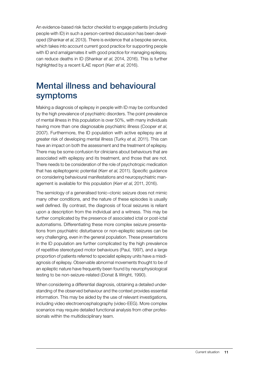An evidence-based risk factor checklist to engage patients (including people with ID) in such a person-centred discussion has been developed (Shankar *et al*, 2013). There is evidence that a bespoke service, which takes into account current good practice for supporting people with ID and amalgamates it with good practice for managing epilepsy, can reduce deaths in ID (Shankar *et al*, 2014, 2016). This is further highlighted by a recent ILAE report (Kerr *et al*, 2016).

### Mental illness and behavioural symptoms

Making a diagnosis of epilepsy in people with ID may be confounded by the high prevalence of psychiatric disorders. The point prevalence of mental illness in this population is over 50%, with many individuals having more than one diagnosable psychiatric illness (Cooper *et al*, 2007). Furthermore, the ID population with active epilepsy are at greater risk of developing mental illness (Turky *et al*, 2011). This can have an impact on both the assessment and the treatment of epilepsy. There may be some confusion for clinicians about behaviours that are associated with epilepsy and its treatment, and those that are not. There needs to be consideration of the role of psychotropic medication that has epileptogenic potential (Kerr *et al*, 2011). Specific guidance on considering behavioural manifestations and neuropsychiatric management is available for this population (Kerr *et al*, 2011, 2016).

The semiology of a generalised tonic–clonic seizure does not mimic many other conditions, and the nature of these episodes is usually well defined. By contrast, the diagnosis of focal seizures is reliant upon a description from the individual and a witness. This may be further complicated by the presence of associated ictal or post-ictal automatisms. Differentiating these more complex seizure presentations from psychiatric disturbance or non-epileptic seizures can be very challenging, even in the general population. These presentations in the ID population are further complicated by the high prevalence of repetitive stereotyped motor behaviours (Paul, 1997), and a large proportion of patients referred to specialist epilepsy units have a misdiagnosis of epilepsy. Observable abnormal movements thought to be of an epileptic nature have frequently been found by neurophysiological testing to be non-seizure-related (Donat & Wright, 1990).

When considering a differential diagnosis, obtaining a detailed understanding of the observed behaviour and the context provides essential information. This may be aided by the use of relevant investigations, including video electroencephalography (video-EEG). More complex scenarios may require detailed functional analysis from other professionals within the multidisciplinary team.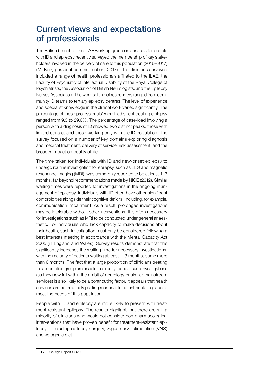## Current views and expectations of professionals

The British branch of the ILAE working group on services for people with ID and epilepsy recently surveyed the membership of key stakeholders involved in the delivery of care to this population (2016–2017) (M. Kerr, personal communication, 2017). The clinicians surveyed included a range of health professionals affiliated to the ILAE, the Faculty of Psychiatry of Intellectual Disability of the Royal College of Psychiatrists, the Association of British Neurologists, and the Epilepsy Nurses Association. The work setting of responders ranged from community ID teams to tertiary epilepsy centres. The level of experience and specialist knowledge in the clinical work varied significantly. The percentage of these professionals' workload spent treating epilepsy ranged from 9.3 to 29.6%. The percentage of case-load involving a person with a diagnosis of ID showed two distinct peaks: those with limited contact and those working only with the ID population. The survey focused on a number of key domains exploring diagnosis and medical treatment, delivery of service, risk assessment, and the broader impact on quality of life.

The time taken for individuals with ID and new-onset epilepsy to undergo routine investigation for epilepsy, such as EEG and magnetic resonance imaging (MRI), was commonly reported to be at least 1–3 months, far beyond recommendations made by NICE (2012). Similar waiting times were reported for investigations in the ongoing management of epilepsy. Individuals with ID often have other significant comorbidities alongside their cognitive deficits, including, for example, communication impairment. As a result, prolonged investigations may be intolerable without other interventions. It is often necessary for investigations such as MRI to be conducted under general anaesthetic. For individuals who lack capacity to make decisions about their health, such investigation must only be considered following a best interests meeting in accordance with the Mental Capacity Act 2005 (in England and Wales). Survey results demonstrate that this significantly increases the waiting time for necessary investigations. with the majority of patients waiting at least 1–3 months, some more than 6 months. The fact that a large proportion of clinicians treating this population group are unable to directly request such investigations (as they now fall within the ambit of neurology or similar mainstream services) is also likely to be a contributing factor. It appears that health services are not routinely putting reasonable adjustments in place to meet the needs of this population.

People with ID and epilepsy are more likely to present with treatment-resistant epilepsy. The results highlight that there are still a minority of clinicians who would not consider non-pharmacological interventions that have proven benefit for treatment-resistant epilepsy – including epilepsy surgery, vagus nerve stimulation (VNS) and ketogenic diet.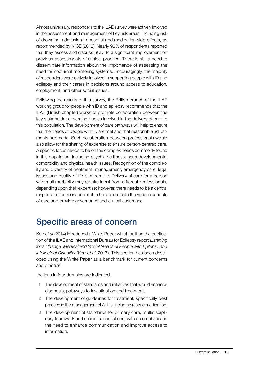Almost universally, responders to the ILAE survey were actively involved in the assessment and management of key risk areas, including risk of drowning, admission to hospital and medication side-effects, as recommended by NICE (2012). Nearly 90% of respondents reported that they assess and discuss SUDEP, a significant improvement on previous assessments of clinical practice. There is still a need to disseminate information about the importance of assessing the need for nocturnal monitoring systems. Encouragingly, the majority of responders were actively involved in supporting people with ID and epilepsy and their carers in decisions around access to education, employment, and other social issues.

Following the results of this survey, the British branch of the ILAE working group for people with ID and epilepsy recommends that the ILAE (British chapter) works to promote collaboration between the key stakeholder governing bodies involved in the delivery of care to this population. The development of care pathways will help to ensure that the needs of people with ID are met and that reasonable adjustments are made. Such collaboration between professionals would also allow for the sharing of expertise to ensure person-centred care. A specific focus needs to be on the complex needs commonly found in this population, including psychiatric illness, neurodevelopmental comorbidity and physical health issues. Recognition of the complexity and diversity of treatment, management, emergency care, legal issues and quality of life is imperative. Delivery of care for a person with multimorbidity may require input from different professionals, depending upon their expertise; however, there needs to be a central responsible team or specialist to help coordinate the various aspects of care and provide governance and clinical assurance.

## Specific areas of concern

Kerr *et al* (2014) introduced a White Paper which built on the publication of the ILAE and International Bureau for Epilepsy report *Listening for a Change: Medical and Social Needs of People with Epilepsy and Intellectual Disability* (Kerr *et al*, 2013). This section has been developed using the White Paper as a benchmark for current concerns and practice.

Actions in four domains are indicated.

- 1 The development of standards and initiatives that would enhance diagnosis, pathways to investigation and treatment.
- 2 The development of guidelines for treatment, specifically best practice in the management of AEDs, including rescue medication.
- 3 The development of standards for primary care, multidisciplinary teamwork and clinical consultations, with an emphasis on the need to enhance communication and improve access to information.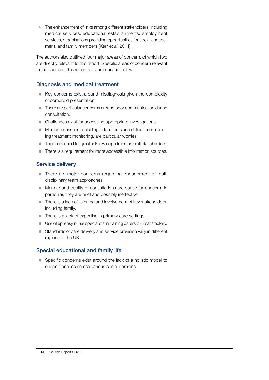4 The enhancement of links among different stakeholders, including medical services, educational establishments, employment services, organisations providing opportunities for social engagement, and family members (Kerr *et al*, 2014).

The authors also outlined four major areas of concern, of which two are directly relevant to this report. Specific areas of concern relevant to the scope of this report are summarised below.

### Diagnosis and medical treatment

- Key concerns exist around misdiagnosis given the complexity of comorbid presentation.
- There are particular concerns around poor communication during consultation.
- Challenges exist for accessing appropriate investigations.
- $\bullet$  Medication issues, including side-effects and difficulties in ensuring treatment monitoring, are particular worries.
- There is a need for greater knowledge transfer to all stakeholders.
- There is a requirement for more accessible information sources.

### Service delivery

- There are major concerns regarding engagement of multi disciplinary team approaches.
- Manner and quality of consultations are cause for concern; in particular, they are brief and possibly ineffective.
- $\bullet$  There is a lack of listening and involvement of key stakeholders, including family.
- There is a lack of expertise in primary care settings.
- Use of epilepsy nurse specialists in training carers is unsatisfactory.
- Standards of care delivery and service provision vary in different regions of the UK.

### Special educational and family life

• Specific concerns exist around the lack of a holistic model to support access across various social domains.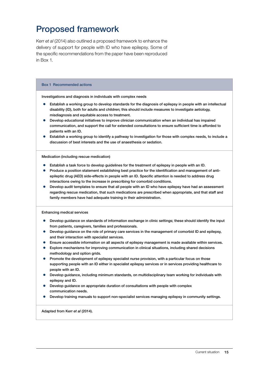## Proposed framework

Kerr *et al* (2014) also outlined a proposed framework to enhance the delivery of support for people with ID who have epilepsy. Some of the specific recommendations from the paper have been reproduced in Box 1.

#### Box 1 Recommended actions

Investigations and diagnosis in individuals with complex needs

- **•** Establish a working group to develop standards for the diagnosis of epilepsy in people with an intellectual disability (ID), both for adults and children; this should include measures to investigate aetiology, misdiagnosis and equitable access to treatment.
- Develop educational initiatives to improve clinician communication when an individual has impaired communication, and support the call for extended consultations to ensure sufficient time is afforded to patients with an ID.
- Establish a working group to identify a pathway to investigation for those with complex needs, to include a discussion of best interests and the use of anaesthesia or sedation.

Medication (including rescue medication)

- Establish a task force to develop guidelines for the treatment of epilepsy in people with an ID.
- Produce a position statement establishing best practice for the identification and management of antiepileptic drug (AED) side-effects in people with an ID. Specific attention is needed to address drug interactions owing to the increase in prescribing for comorbid conditions.
- Develop audit templates to ensure that all people with an ID who have epilepsy have had an assessment regarding rescue medication, that such medications are prescribed when appropriate, and that staff and family members have had adequate training in their administration.

Enhancing medical services

- Develop guidance on standards of information exchange in clinic settings; these should identify the input from patients, caregivers, families and professionals.
- Develop guidance on the role of primary care services in the management of comorbid ID and epilepsy, and their interaction with specialist services.
- Ensure accessible information on all aspects of epilepsy management is made available within services.
- Explore mechanisms for improving communication in clinical situations, including shared decisions methodology and option grids.
- Promote the development of epilepsy specialist nurse provision, with a particular focus on those supporting people with an ID either in specialist epilepsy services or in services providing healthcare to people with an ID.
- Develop guidance, including minimum standards, on multidisciplinary team working for individuals with epilepsy and ID.
- Develop guidance on appropriate duration of consultations with people with complex communication needs.
- Develop training manuals to support non-specialist services managing epilepsy in community settings.

Adapted from Kerr *et al* (2014).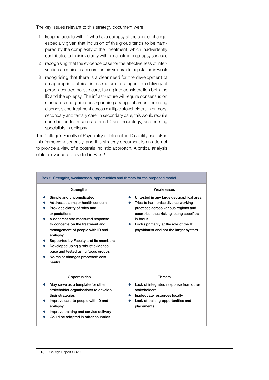The key issues relevant to this strategy document were:

- 1 keeping people with ID who have epilepsy at the core of change, especially given that inclusion of this group tends to be hampered by the complexity of their treatment, which inadvertently contributes to their invisibility within mainstream epilepsy services
- 2 recognising that the evidence base for the effectiveness of interventions in mainstream care for this vulnerable population is weak
- 3 recognising that there is a clear need for the development of an appropriate clinical infrastructure to support the delivery of person-centred holistic care, taking into consideration both the ID and the epilepsy. The infrastructure will require consensus on standards and guidelines spanning a range of areas, including diagnosis and treatment across multiple stakeholders in primary, secondary and tertiary care. In secondary care, this would require contribution from specialists in ID and neurology, and nursing specialists in epilepsy.

The College's Faculty of Psychiatry of Intellectual Disability has taken this framework seriously, and this strategy document is an attempt to provide a view of a potential holistic approach. A critical analysis of its relevance is provided in Box 2.

| Box 2 Strengths, weaknesses, opportunities and threats for the proposed model                                                                                                                                                                                                                                                                                                                                              |                                                                                                                                                                                                                                                                                |  |  |  |  |  |
|----------------------------------------------------------------------------------------------------------------------------------------------------------------------------------------------------------------------------------------------------------------------------------------------------------------------------------------------------------------------------------------------------------------------------|--------------------------------------------------------------------------------------------------------------------------------------------------------------------------------------------------------------------------------------------------------------------------------|--|--|--|--|--|
| <b>Strengths</b><br>Simple and uncomplicated<br>Addresses a major health concern<br>Provides clarity of roles and<br>expectations<br>A coherent and measured response<br>to concerns on the treatment and<br>management of people with ID and<br>epilepsy<br>Supported by Faculty and its members<br>Developed using a robust evidence<br>base and tested using focus groups<br>No major changes proposed: cost<br>neutral | Weaknesses<br>Untested in any large geographical area<br>Tries to harmonise diverse working<br>practices across various regions and<br>countries, thus risking losing specifics<br>in focus<br>Looks primarily at the role of the ID<br>psychiatrist and not the larger system |  |  |  |  |  |
| Opportunities<br>May serve as a template for other<br>stakeholder organisations to develop<br>their strategies<br>Improve care to people with ID and<br>epilepsy<br>Improve training and service delivery<br>Could be adopted in other countries                                                                                                                                                                           | <b>Threats</b><br>Lack of integrated response from other<br>stakeholders<br>Inadequate resources locally<br>Lack of training opportunities and<br>placements                                                                                                                   |  |  |  |  |  |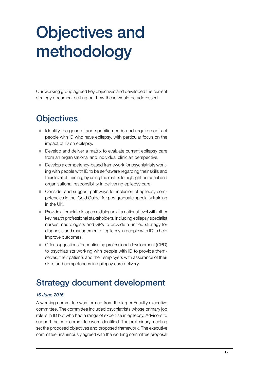# Objectives and methodology

Our working group agreed key objectives and developed the current strategy document setting out how these would be addressed.

## **Objectives**

- Identify the general and specific needs and requirements of people with ID who have epilepsy, with particular focus on the impact of ID on epilepsy.
- Develop and deliver a matrix to evaluate current epilepsy care from an organisational and individual clinician perspective.
- Develop a competency-based framework for psychiatrists working with people with ID to be self-aware regarding their skills and their level of training, by using the matrix to highlight personal and organisational responsibility in delivering epilepsy care.
- Consider and suggest pathways for inclusion of epilepsy competencies in the 'Gold Guide' for postgraduate specialty training in the UK.
- Provide a template to open a dialogue at a national level with other key health professional stakeholders, including epilepsy specialist nurses, neurologists and GPs to provide a unified strategy for diagnosis and management of epilepsy in people with ID to help improve outcomes.
- Offer suggestions for continuing professional development (CPD) to psychiatrists working with people with ID to provide themselves, their patients and their employers with assurance of their skills and competences in epilepsy care delivery.

## Strategy document development

#### *16 June 2016*

A working committee was formed from the larger Faculty executive committee. The committee included psychiatrists whose primary job role is in ID but who had a range of expertise in epilepsy. Advisors to support the core committee were identified. The preliminary meeting set the proposed objectives and proposed framework. The executive committee unanimously agreed with the working committee proposal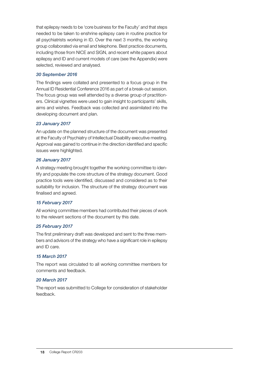that epilepsy needs to be 'core business for the Faculty' and that steps needed to be taken to enshrine epilepsy care in routine practice for all psychiatrists working in ID. Over the next 3 months, the working group collaborated via email and telephone. Best practice documents, including those from NICE and SIGN, and recent white papers about epilepsy and ID and current models of care (see the Appendix) were selected, reviewed and analysed.

#### *30 September 2016*

The findings were collated and presented to a focus group in the Annual ID Residential Conference 2016 as part of a break-out session. The focus group was well attended by a diverse group of practitioners. Clinical vignettes were used to gain insight to participants' skills, aims and wishes. Feedback was collected and assimilated into the developing document and plan.

#### *23 January 2017*

An update on the planned structure of the document was presented at the Faculty of Psychiatry of Intellectual Disability executive meeting. Approval was gained to continue in the direction identified and specific issues were highlighted.

#### *26 January 2017*

A strategy meeting brought together the working committee to identify and populate the core structure of the strategy document. Good practice tools were identified, discussed and considered as to their suitability for inclusion. The structure of the strategy document was finalised and agreed.

#### *15 February 2017*

All working committee members had contributed their pieces of work to the relevant sections of the document by this date.

#### *25 February 2017*

The first preliminary draft was developed and sent to the three members and advisors of the strategy who have a significant role in epilepsy and ID care.

#### *15 March 2017*

The report was circulated to all working committee members for comments and feedback.

#### *20 March 2017*

The report was submitted to College for consideration of stakeholder feedback.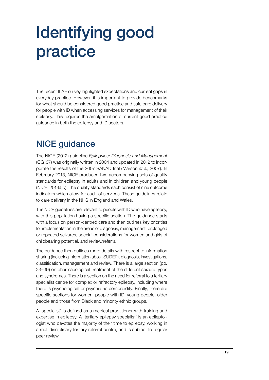# Identifying good practice

The recent ILAE survey highlighted expectations and current gaps in everyday practice. However, it is important to provide benchmarks for what should be considered good practice and safe care delivery for people with ID when accessing services for management of their epilepsy. This requires the amalgamation of current good practice guidance in both the epilepsy and ID sectors.

## NICE guidance

The NICE (2012) guideline *Epilepsies: Diagnosis and Management* (CG137) was originally written in 2004 and updated in 2012 to incorporate the results of the 2007 SANAD trial (Marson *et al*, 2007). In February 2013, NICE produced two accompanying sets of quality standards for epilepsy in adults and in children and young people (NICE, 2013*a*,*b*). The quality standards each consist of nine outcome indicators which allow for audit of services. These guidelines relate to care delivery in the NHS in England and Wales.

The NICE guidelines are relevant to people with ID who have epilepsy, with this population having a specific section. The guidance starts with a focus on person-centred care and then outlines key priorities for implementation in the areas of diagnosis, management, prolonged or repeated seizures, special considerations for women and girls of childbearing potential, and review/referral.

The guidance then outlines more details with respect to information sharing (including information about SUDEP), diagnosis, investigations, classification, management and review. There is a large section (pp. 23–39) on pharmacological treatment of the different seizure types and syndromes. There is a section on the need for referral to a tertiary specialist centre for complex or refractory epilepsy, including where there is psychological or psychiatric comorbidity. Finally, there are specific sections for women, people with ID, young people, older people and those from Black and minority ethnic groups.

A 'specialist' is defined as a medical practitioner with training and expertise in epilepsy. A 'tertiary epilepsy specialist' is an epileptologist who devotes the majority of their time to epilepsy, working in a multidisciplinary tertiary referral centre, and is subject to regular peer review.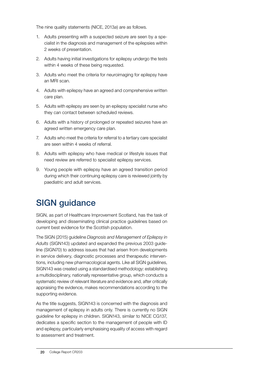The nine quality statements (NICE, 2013*a*) are as follows.

- 1. Adults presenting with a suspected seizure are seen by a specialist in the diagnosis and management of the epilepsies within 2 weeks of presentation.
- 2. Adults having initial investigations for epilepsy undergo the tests within 4 weeks of these being requested.
- 3. Adults who meet the criteria for neuroimaging for epilepsy have an MRI scan.
- 4. Adults with epilepsy have an agreed and comprehensive written care plan.
- 5. Adults with epilepsy are seen by an epilepsy specialist nurse who they can contact between scheduled reviews.
- 6. Adults with a history of prolonged or repeated seizures have an agreed written emergency care plan.
- 7. Adults who meet the criteria for referral to a tertiary care specialist are seen within 4 weeks of referral.
- 8. Adults with epilepsy who have medical or lifestyle issues that need review are referred to specialist epilepsy services.
- 9. Young people with epilepsy have an agreed transition period during which their continuing epilepsy care is reviewed jointly by paediatric and adult services.

## SIGN guidance

SIGN, as part of Healthcare Improvement Scotland, has the task of developing and disseminating clinical practice guidelines based on current best evidence for the Scottish population.

The SIGN (2015) guideline *Diagnosis and Management of Epilepsy in Adults* (SIGN143) updated and expanded the previous 2003 guideline (SIGN70) to address issues that had arisen from developments in service delivery, diagnostic processes and therapeutic interventions, including new pharmacological agents. Like all SIGN guidelines, SIGN143 was created using a standardised methodology: establishing a multidisciplinary, nationally representative group, which conducts a systematic review of relevant literature and evidence and, after critically appraising the evidence, makes recommendations according to the supporting evidence.

As the title suggests, SIGN143 is concerned with the diagnosis and management of epilepsy in adults only. There is currently no SIGN guideline for epilepsy in children. SIGN143, similar to NICE CG137, dedicates a specific section to the management of people with ID and epilepsy, particularly emphasising equality of access with regard to assessment and treatment.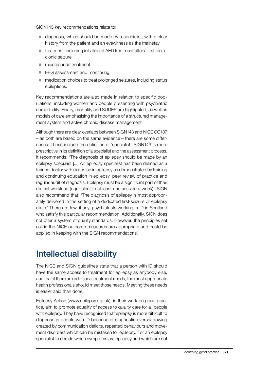SIGN143 key recommendations relate to:

- $\bullet$  diagnosis, which should be made by a specialist, with a clear history from the patient and an eyewitness as the mainstay
- $\bullet$  treatment, including initiation of AED treatment after a first tonicclonic seizure
- $\bullet$  maintenance treatment
- EEG assessment and monitoring
- $\bullet$  medication choices to treat prolonged seizures, including status epilepticus.

Key recommendations are also made in relation to specific populations, including women and people presenting with psychiatric comorbidity. Finally, mortality and SUDEP are highlighted, as well as models of care emphasising the importance of a structured management system and active chronic disease management.

Although there are clear overlaps between SIGN143 and NICE CG137 – as both are based on the same evidence – there are some differences. These include the definition of 'specialist'. SIGN143 is more prescriptive in its definition of a specialist and the assessment process. It recommends: 'The diagnosis of epilepsy should be made by an epilepsy specialist [...] An epilepsy specialist has been defined as a trained doctor with expertise in epilepsy as demonstrated by training and continuing education in epilepsy, peer review of practice and regular audit of diagnosis. Epilepsy must be a significant part of their clinical workload (equivalent to at least one session a week).' SIGN also recommend that: 'The diagnosis of epilepsy is most appropriately delivered in the setting of a dedicated first-seizure or epilepsy clinic.' There are few, if any, psychiatrists working in ID in Scotland who satisfy this particular recommendation. Additionally, SIGN does not offer a system of quality standards. However, the principles set out in the NICE outcome measures are appropriate and could be applied in keeping with the SIGN recommendations.

## Intellectual disability

The NICE and SIGN guidelines state that a person with ID should have the same access to treatment for epilepsy as anybody else, and that if there are additional treatment needs, the most appropriate health professionals should meet those needs. Meeting these needs is easier said than done.

Epilepsy Action (www.epilepsy.org.uk), in their work on good practice, aim to promote equality of access to quality care for all people with epilepsy. They have recognised that epilepsy is more difficult to diagnose in people with ID because of diagnostic overshadowing created by communication deficits, repeated behaviours and movement disorders which can be mistaken for epilepsy. For an epilepsy specialist to decide which symptoms are epilepsy and which are not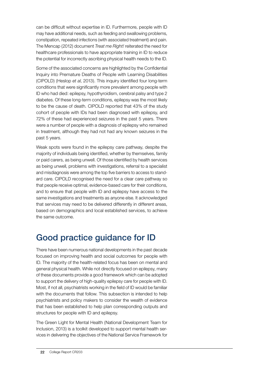can be difficult without expertise in ID. Furthermore, people with ID may have additional needs, such as feeding and swallowing problems, constipation, repeated infections (with associated treatment) and pain. The Mencap (2012) document *Treat me Right!* reiterated the need for healthcare professionals to have appropriate training in ID to reduce the potential for incorrectly ascribing physical health needs to the ID.

Some of the associated concerns are highlighted by the Confidential Inquiry into Premature Deaths of People with Learning Disabilities (CIPOLD) (Heslop *et al*, 2013). This inquiry identified four long-term conditions that were significantly more prevalent among people with ID who had died: epilepsy, hypothyroidism, cerebral palsy and type 2 diabetes. Of these long-term conditions, epilepsy was the most likely to be the cause of death. CIPOLD reported that 43% of the study cohort of people with IDs had been diagnosed with epilepsy, and 72% of these had experienced seizures in the past 5 years. There were a number of people with a diagnosis of epilepsy who remained in treatment, although they had not had any known seizures in the past 5 years.

Weak spots were found in the epilepsy care pathway, despite the majority of individuals being identified, whether by themselves, family or paid carers, as being unwell. Of those identified by health services as being unwell, problems with investigations, referral to a specialist and misdiagnosis were among the top five barriers to access to standard care. CIPOLD recognised the need for a clear care pathway so that people receive optimal, evidence-based care for their conditions, and to ensure that people with ID and epilepsy have access to the same investigations and treatments as anyone else. It acknowledged that services may need to be delivered differently in different areas, based on demographics and local established services, to achieve the same outcome.

## Good practice guidance for ID

There have been numerous national developments in the past decade focused on improving health and social outcomes for people with ID. The majority of the health-related focus has been on mental and general physical health. While not directly focused on epilepsy, many of these documents provide a good framework which can be adopted to support the delivery of high-quality epilepsy care for people with ID. Most, if not all, psychiatrists working in the field of ID would be familiar with the documents that follow. This subsection is intended to help psychiatrists and policy makers to consider the wealth of evidence that has been established to help plan corresponding outputs and structures for people with ID and epilepsy.

The Green Light for Mental Health (National Development Team for Inclusion, 2013) is a toolkit developed to support mental health services in delivering the objectives of the National Service Framework for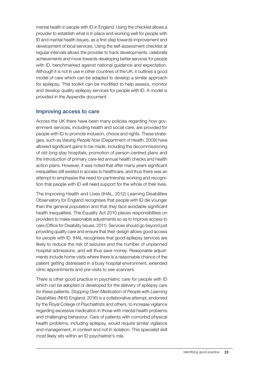mental health in people with ID in England. Using the checklist allows a provider to establish what is in place and working well for people with ID and mental health issues, as a first step towards improvement and development of local services. Using the self-assessment checklist at regular intervals allows the provider to track developments, celebrate achievements and move towards developing better services for people with ID, benchmarked against national guidance and expectation. Although it is not in use in other countries of the UK, it outlines a good model of care which can be adapted to develop a similar approach for epilepsy. This toolkit can be modified to help assess, monitor and develop quality epilepsy services for people with ID. A model is provided in the Appendix document.

#### Improving access to care

Across the UK there have been many policies regarding how government services, including health and social care, are provided for people with ID to promote inclusion, choice and rights. These strategies, such as *Valuing People Now* (Department of Health, 2009) have allowed significant gains to be made, including the decommissioning of old long-stay hospitals, promotion of person-centred plans and the introduction of primary care-led annual health checks and health action plans. However, it was noted that after many years significant inequalities still existed in access to healthcare, and thus there was an attempt to emphasise the need for partnership working and recognition that people with ID will need support for the whole of their lives.

The Improving Health and Lives (IHAL, 2012) Learning Disabilities Observatory for England recognises that people with ID die younger than the general population and that they face avoidable significant health inequalities. The Equality Act 2010 places responsibilities on providers to make reasonable adjustments so as to improve access to care (Office for Disability Issues, 2011). Services should go beyond just providing quality care and ensure that their design allows good access for people with ID. IHAL recognises that good epilepsy services are likely to reduce the risk of seizures and the number of unplanned hospital admissions, and will thus save money. Reasonable adjustments include home visits where there is a reasonable chance of the patient getting distressed in a busy hospital environment, extended clinic appointments and pre-visits to see scanners.

There is other good practice in psychiatric care for people with ID which can be adopted or developed for the delivery of epilepsy care for these patients. *Stopping Over-Medication of People with Learning Disabilities* (NHS England, 2016) is a collaborative attempt, endorsed by the Royal College of Psychiatrists and others, to increase vigilance regarding excessive medication in those with mental health problems and challenging behaviour. Care of patients with comorbid physical health problems, including epilepsy, would require similar vigilance and management, in context and not in isolation. This specialist skill most likely sits within an ID psychiatrist's role.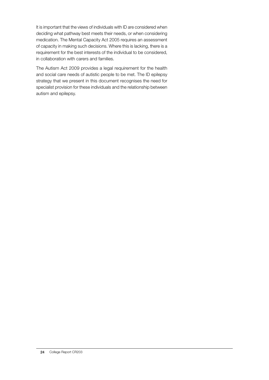It is important that the views of individuals with ID are considered when deciding what pathway best meets their needs, or when considering medication. The Mental Capacity Act 2005 requires an assessment of capacity in making such decisions. Where this is lacking, there is a requirement for the best interests of the individual to be considered, in collaboration with carers and families.

The Autism Act 2009 provides a legal requirement for the health and social care needs of autistic people to be met. The ID epilepsy strategy that we present in this document recognises the need for specialist provision for these individuals and the relationship between autism and epilepsy.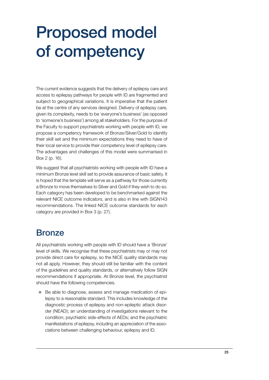# Proposed model of competency

The current evidence suggests that the delivery of epilepsy care and access to epilepsy pathways for people with ID are fragmented and subject to geographical variations. It is imperative that the patient be at the centre of any services designed. Delivery of epilepsy care, given its complexity, needs to be 'everyone's business' (as opposed to 'someone's business') among all stakeholders. For the purpose of the Faculty to support psychiatrists working with people with ID, we propose a competency framework of Bronze/Silver/Gold to identify their skill set and the minimum expectations they need to have of their local service to provide their competency level of epilepsy care. The advantages and challenges of this model were summarised in Box 2 (p. 16).

We suggest that all psychiatrists working with people with ID have a minimum Bronze level skill set to provide assurance of basic safety. It is hoped that the template will serve as a pathway for those currently a Bronze to move themselves to Silver and Gold if they wish to do so. Each category has been developed to be benchmarked against the relevant NICE outcome indicators, and is also in line with SIGN143 recommendations. The linked NICE outcome standards for each category are provided in Box 3 (p. 27).

### **Bronze**

All psychiatrists working with people with ID should have a 'Bronze' level of skills. We recognise that these psychiatrists may or may not provide direct care for epilepsy, so the NICE quality standards may not all apply. However, they should still be familiar with the content of the guidelines and quality standards, or alternatively follow SIGN recommendations if appropriate. At Bronze level, the psychiatrist should have the following competencies.

Be able to diagnose, assess and manage medication of epilepsy to a reasonable standard. This includes knowledge of the diagnostic process of epilepsy and non-epileptic attack disorder (NEAD); an understanding of investigations relevant to the condition; psychiatric side-effects of AEDs; and the psychiatric manifestations of epilepsy, including an appreciation of the associations between challenging behaviour, epilepsy and ID.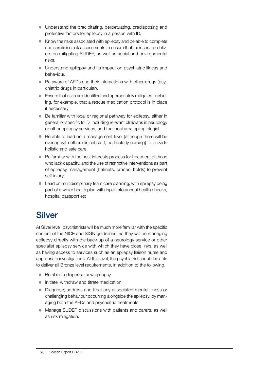- Understand the precipitating, perpetuating, predisposing and protective factors for epilepsy in a person with ID.
- $\bullet$  Know the risks associated with epilepsy and be able to complete and scrutinise risk assessments to ensure that their service delivers on mitigating SUDEP, as well as social and environmental risks.
- Understand epilepsy and its impact on psychiatric illness and behaviour.
- Be aware of AEDs and their interactions with other drugs (psychiatric drugs in particular).
- **•** Ensure that risks are identified and appropriately mitigated, including, for example, that a rescue medication protocol is in place if necessary.
- Be familiar with local or regional pathway for epilepsy, either in general or specific to ID, including relevant clinicians in neurology or other epilepsy services, and the local area epileptologist.
- $\bullet$  Be able to lead on a management level (although there will be overlap with other clinical staff, particularly nursing) to provide holistic and safe care.
- $\bullet$  Be familiar with the best interests process for treatment of those who lack capacity, and the use of restrictive interventions as part of epilepsy management (helmets, braces, holds) to prevent self-injury.
- $\bullet$  Lead on multidisciplinary team care planning, with epilepsy being part of a wider health plan with input into annual health checks, hospital passport etc.

## **Silver**

At Silver level, psychiatrists will be much more familiar with the specific content of the NICE and SIGN guidelines, as they will be managing epilepsy directly with the back-up of a neurology service or other specialist epilepsy service with which they have close links, as well as having access to services such as an epilepsy liaison nurse and appropriate investigations. At this level, the psychiatrist should be able to deliver all Bronze level requirements, in addition to the following.

- $\bullet$  Be able to diagnose new epilepsy.
- $\bullet$  Initiate, withdraw and titrate medication.
- Diagnose, address and treat any associated mental illness or challenging behaviour occurring alongside the epilepsy, by managing both the AEDs and psychiatric treatments.
- Manage SUDEP discussions with patients and carers, as well as risk mitigation.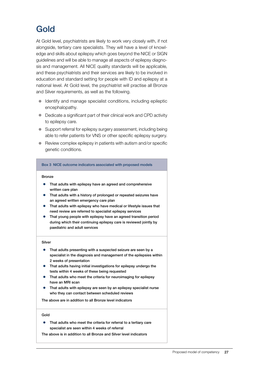## Gold

At Gold level, psychiatrists are likely to work very closely with, if not alongside, tertiary care specialists. They will have a level of knowledge and skills about epilepsy which goes beyond the NICE or SIGN guidelines and will be able to manage all aspects of epilepsy diagnosis and management. All NICE quality standards will be applicable, and these psychiatrists and their services are likely to be involved in education and standard setting for people with ID and epilepsy at a national level. At Gold level, the psychiatrist will practise all Bronze and Silver requirements, as well as the following.

- Identify and manage specialist conditions, including epileptic encephalopathy.
- $\bullet$  Dedicate a significant part of their clinical work and CPD activity to epilepsy care.
- Support referral for epilepsy surgery assessment, including being able to refer patients for VNS or other specific epilepsy surgery.
- $\bullet$  Review complex epilepsy in patients with autism and/or specific genetic conditions.

#### Box 3 NICE outcome indicators associated with proposed models

#### Bronze

- That adults with epilepsy have an agreed and comprehensive written care plan
- That adults with a history of prolonged or repeated seizures have an agreed written emergency care plan
- That adults with epilepsy who have medical or lifestyle issues that need review are referred to specialist epilepsy services
- That young people with epilepsy have an agreed transition period during which their continuing epilepsy care is reviewed jointly by paediatric and adult services

#### Silver

- That adults presenting with a suspected seizure are seen by a specialist in the diagnosis and management of the epilepsies within 2 weeks of presentation
- That adults having initial investigations for epilepsy undergo the tests within 4 weeks of these being requested
- That adults who meet the criteria for neuroimaging for epilepsy have an MRI scan
- That adults with epilepsy are seen by an epilepsy specialist nurse who they can contact between scheduled reviews

The above are in addition to all Bronze level indicators

#### Gold

• That adults who meet the criteria for referral to a tertiary care specialist are seen within 4 weeks of referral

The above is in addition to all Bronze and Silver level indicators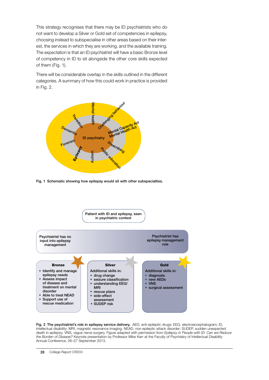This strategy recognises that there may be ID psychiatrists who do not want to develop a Silver or Gold set of competencies in epilepsy, choosing instead to subspecialise in other areas based on their interest, the services in which they are working, and the available training. The expectation is that an ID psychiatrist will have a basic Bronze level of competency in ID to sit alongside the other core skills expected of them (Fig. 1).

There will be considerable overlap in the skills outlined in the different categories. A summary of how this could work in practice is provided in Fig. 2.



Fig. 1 Schematic showing how epilepsy would sit with other subspecialties.



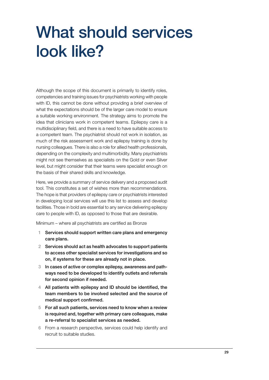# What should services look like?

Although the scope of this document is primarily to identify roles, competencies and training issues for psychiatrists working with people with ID, this cannot be done without providing a brief overview of what the expectations should be of the larger care model to ensure a suitable working environment. The strategy aims to promote the idea that clinicians work in competent teams. Epilepsy care is a multidisciplinary field, and there is a need to have suitable access to a competent team. The psychiatrist should not work in isolation, as much of the risk assessment work and epilepsy training is done by nursing colleagues. There is also a role for allied health professionals, depending on the complexity and multimorbidity. Many psychiatrists might not see themselves as specialists on the Gold or even Silver level, but might consider that their teams were specialist enough on the basis of their shared skills and knowledge.

Here, we provide a summary of service delivery and a proposed audit tool. This constitutes a set of wishes more than recommendations. The hope is that providers of epilepsy care or psychiatrists interested in developing local services will use this list to assess and develop facilities. Those in bold are essential to any service delivering epilepsy care to people with ID, as opposed to those that are desirable.

Minimum – where all psychiatrists are certified as Bronze

- 1 Services should support written care plans and emergency care plans.
- 2 Services should act as health advocates to support patients to access other specialist services for investigations and so on, if systems for these are already not in place.
- 3 In cases of active or complex epilepsy, awareness and pathways need to be developed to identify outlets and referrals for second opinion if needed.
- 4 All patients with epilepsy and ID should be identified, the team members to be involved selected and the source of medical support confirmed.
- 5 For all such patients, services need to know when a review is required and, together with primary care colleagues, make a re-referral to specialist services as needed.
- 6 From a research perspective, services could help identify and recruit to suitable studies.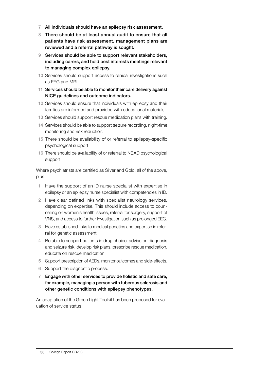- 7 All individuals should have an epilepsy risk assessment.
- 8 There should be at least annual audit to ensure that all patients have risk assessment, management plans are reviewed and a referral pathway is sought.
- 9 Services should be able to support relevant stakeholders, including carers, and hold best interests meetings relevant to managing complex epilepsy.
- 10 Services should support access to clinical investigations such as EEG and MRI.
- 11 Services should be able to monitor their care delivery against NICE guidelines and outcome indicators.
- 12 Services should ensure that individuals with epilepsy and their families are informed and provided with educational materials.
- 13 Services should support rescue medication plans with training.
- 14 Services should be able to support seizure recording, night-time monitoring and risk reduction.
- 15 There should be availability of or referral to epilepsy-specific psychological support.
- 16 There should be availability of or referral to NEAD psychological support.

Where psychiatrists are certified as Silver and Gold, all of the above, plus:

- 1 Have the support of an ID nurse specialist with expertise in epilepsy or an epilepsy nurse specialist with competencies in ID.
- 2 Have clear defined links with specialist neurology services, depending on expertise. This should include access to counselling on women's health issues, referral for surgery, support of VNS, and access to further investigation such as prolonged EEG.
- 3 Have established links to medical genetics and expertise in referral for genetic assessment.
- 4 Be able to support patients in drug choice, advise on diagnosis and seizure risk, develop risk plans, prescribe rescue medication, educate on rescue medication.
- 5 Support prescription of AEDs, monitor outcomes and side-effects.
- 6 Support the diagnostic process.
- 7 Engage with other services to provide holistic and safe care, for example, managing a person with tuberous sclerosis and other genetic conditions with epilepsy phenotypes.

An adaptation of the Green Light Toolkit has been proposed for evaluation of service status.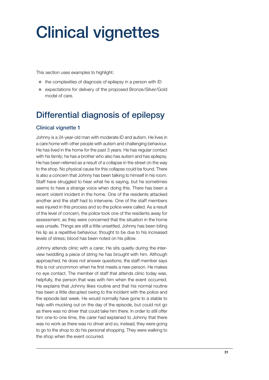# Clinical vignettes

This section uses examples to highlight:

- $\bullet$  the complexities of diagnosis of epilepsy in a person with ID
- expectations for delivery of the proposed Bronze/Silver/Gold model of care.

## Differential diagnosis of epilepsy

### Clinical vignette 1

Johnny is a 24-year-old man with moderate ID and autism. He lives in a care home with other people with autism and challenging behaviour. He has lived in the home for the past 3 years. He has regular contact with his family; he has a brother who also has autism and has epilepsy. He has been referred as a result of a collapse in the street on the way to the shop. No physical cause for this collapse could be found. There is also a concern that Johnny has been talking to himself in his room. Staff have struggled to hear what he is saying, but he sometimes seems to have a strange voice when doing this. There has been a recent violent incident in the home. One of the residents attacked another and the staff had to intervene. One of the staff members was injured in this process and so the police were called. As a result of the level of concern, the police took one of the residents away for assessment, as they were concerned that the situation in the home was unsafe. Things are still a little unsettled. Johnny has been biting his lip as a repetitive behaviour, thought to be due to his increased levels of stress; blood has been noted on his pillow.

Johnny attends clinic with a carer. He sits quietly during the interview twiddling a piece of string he has brought with him. Although approached, he does not answer questions; the staff member says this is not uncommon when he first meets a new person. He makes no eye contact. The member of staff that attends clinic today was, helpfully, the person that was with him when the event occurred. He explains that Johnny likes routine and that his normal routine has been a little disrupted owing to the incident with the police and the episode last week. He would normally have gone to a stable to help with mucking out on the day of the episode, but could not go as there was no driver that could take him there. In order to still offer him one-to-one time, the carer had explained to Johnny that there was no work as there was no driver and so, instead, they were going to go to the shop to do his personal shopping. They were walking to the shop when the event occurred.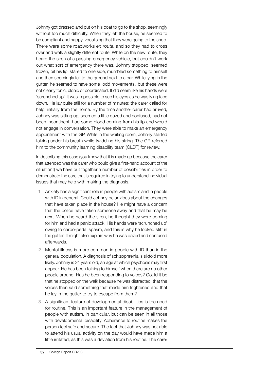Johnny got dressed and put on his coat to go to the shop, seemingly without too much difficulty. When they left the house, he seemed to be compliant and happy, vocalising that they were going to the shop. There were some roadworks *en route*, and so they had to cross over and walk a slightly different route. While on the new route, they heard the siren of a passing emergency vehicle, but couldn't work out what sort of emergency there was. Johnny stopped, seemed frozen, bit his lip, stared to one side, mumbled something to himself and then seemingly fell to the ground next to a car. While lying in the gutter, he seemed to have some 'odd movements', but these were not clearly tonic, clonic or coordinated. It did seem like his hands were 'scrunched up'. It was impossible to see his eyes as he was lying face down. He lay quite still for a number of minutes; the carer called for help, initially from the home. By the time another carer had arrived, Johnny was sitting up, seemed a little dazed and confused, had not been incontinent, had some blood coming from his lip and would not engage in conversation. They were able to make an emergency appointment with the GP. While in the waiting room, Johnny started talking under his breath while twiddling his string. The GP referred him to the community learning disability team (CLDT) for review.

In describing this case (you know that it is made up because the carer that attended was the carer who could give a first-hand account of the situation!) we have put together a number of possibilities in order to demonstrate the care that is required in trying to understand individual issues that may help with making the diagnosis.

- 1 Anxiety has a significant role in people with autism and in people with ID in general. Could Johnny be anxious about the changes that have taken place in the house? He might have a concern that the police have taken someone away and that he may be next. When he heard the siren, he thought they were coming for him and had a panic attack. His hands were 'scrunched up' owing to carpo-pedal spasm, and this is why he looked stiff in the gutter. It might also explain why he was dazed and confused afterwards.
- 2 Mental illness is more common in people with ID than in the general population. A diagnosis of schizophrenia is sixfold more likely. Johnny is 24 years old, an age at which psychosis may first appear. He has been talking to himself when there are no other people around. Has he been responding to voices? Could it be that he stopped on the walk because he was distracted, that the voices then said something that made him frightened and that he lay in the gutter to try to escape from them?
- 3 A significant feature of developmental disabilities is the need for routine. This is an important feature in the management of people with autism, in particular, but can be seen in all those with developmental disability. Adherence to routine makes the person feel safe and secure. The fact that Johnny was not able to attend his usual activity on the day would have made him a little irritated, as this was a deviation from his routine. The carer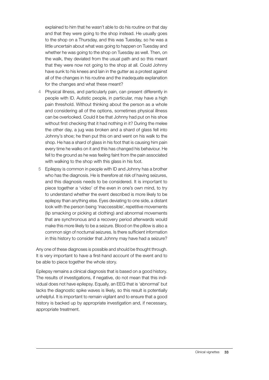explained to him that he wasn't able to do his routine on that day and that they were going to the shop instead. He usually goes to the shop on a Thursday, and this was Tuesday, so he was a little uncertain about what was going to happen on Tuesday and whether he was going to the shop on Tuesday as well. Then, on the walk, they deviated from the usual path and so this meant that they were now not going to the shop at all. Could Johnny have sunk to his knees and lain in the gutter as a protest against all of the changes in his routine and the inadequate explanation for the changes and what these meant?

- 4 Physical illness, and particularly pain, can present differently in people with ID. Autistic people, in particular, may have a high pain threshold. Without thinking about the person as a whole and considering all of the options, sometimes physical illness can be overlooked. Could it be that Johnny had put on his shoe without first checking that it had nothing in it? During the melee the other day, a jug was broken and a shard of glass fell into Johnny's shoe; he then put this on and went on his walk to the shop. He has a shard of glass in his foot that is causing him pain every time he walks on it and this has changed his behaviour. He fell to the ground as he was feeling faint from the pain associated with walking to the shop with this glass in his foot.
- 5 Epilepsy is common in people with ID and Johnny has a brother who has the diagnosis. He is therefore at risk of having seizures, and this diagnosis needs to be considered. It is important to piece together a 'video' of the even in one's own mind, to try to understand whether the event described is more likely to be epilepsy than anything else. Eyes deviating to one side, a distant look with the person being 'inaccessible', repetitive movements (lip smacking or picking at clothing) and abnormal movements that are synchronous and a recovery period afterwards would make this more likely to be a seizure. Blood on the pillow is also a common sign of nocturnal seizures. Is there sufficient information in this history to consider that Johnny may have had a seizure?

Any one of these diagnoses is possible and should be thought through. It is very important to have a first-hand account of the event and to be able to piece together the whole story.

Epilepsy remains a clinical diagnosis that is based on a good history. The results of investigations, if negative, do not mean that this individual does not have epilepsy. Equally, an EEG that is 'abnormal' but lacks the diagnostic spike waves is likely, so this result is potentially unhelpful. It is important to remain vigilant and to ensure that a good history is backed up by appropriate investigation and, if necessary, appropriate treatment.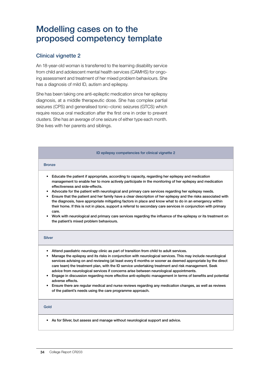## Modelling cases on to the proposed competency template

### Clinical vignette 2

An 18-year-old woman is transferred to the learning disability service from child and adolescent mental health services (CAMHS) for ongoing assessment and treatment of her mixed problem behaviours. She has a diagnosis of mild ID, autism and epilepsy.

She has been taking one anti-epileptic medication since her epilepsy diagnosis, at a middle therapeutic dose. She has complex partial seizures (CPS) and generalised tonic–clonic seizures (GTCS) which require rescue oral medication after the first one in order to prevent clusters. She has an average of one seizure of either type each month. She lives with her parents and siblings.

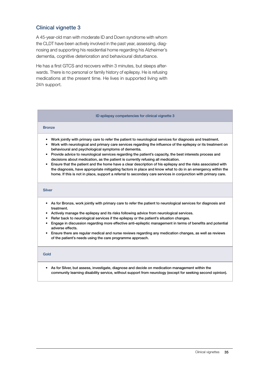### Clinical vignette 3

A 45-year-old man with moderate ID and Down syndrome with whom the CLDT have been actively involved in the past year, assessing, diagnosing and supporting his residential home regarding his Alzheimer's dementia, cognitive deterioration and behavioural disturbance.

He has a first GTCS and recovers within 3 minutes, but sleeps afterwards. There is no personal or family history of epilepsy. He is refusing medications at the present time. He lives in supported living with 24h support.

#### ID epilepsy competencies for clinical vignette 3

#### **Bronze**

- Work jointly with primary care to refer the patient to neurological services for diagnosis and treatment.
- Work with neurological and primary care services regarding the influence of the epilepsy or its treatment on behavioural and psychological symptoms of dementia.
- Provide advice to neurological services regarding the patient's capacity, the best interests process and decisions about medication, as the patient is currently refusing all medication.
- Ensure that the patient and the home have a clear description of his epilepsy and the risks associated with the diagnosis, have appropriate mitigating factors in place and know what to do in an emergency within the home. If this is not in place, support a referral to secondary care services in conjunction with primary care.

#### Silver

- As for Bronze, work jointly with primary care to refer the patient to neurological services for diagnosis and treatment.
- Actively manage the epilepsy and its risks following advice from neurological services.
- Refer back to neurological services if the epilepsy or the patient's situation changes.
- Engage in discussion regarding more effective anti-epileptic management in terms of benefits and potential adverse effects.
- Ensure there are regular medical and nurse reviews regarding any medication changes, as well as reviews of the patient's needs using the care programme approach.

#### Gold

• As for Silver, but assess, investigate, diagnose and decide on medication management within the community learning disability service, without support from neurology (except for seeking second opinion).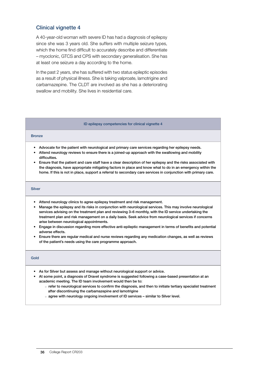#### Clinical vignette 4

A 40-year-old woman with severe ID has had a diagnosis of epilepsy since she was 3 years old. She suffers with multiple seizure types, which the home find difficult to accurately describe and differentiate – myoclonic, GTCS and CPS with secondary generalisation. She has at least one seizure a day according to the home.

In the past 2 years, she has suffered with two status epileptic episodes as a result of physical illness. She is taking valproate, lamotrigine and carbamazepine. The CLDT are involved as she has a deteriorating swallow and mobility. She lives in residential care.

#### ID epilepsy competencies for clinical vignette 4

#### Bronze

- Advocate for the patient with neurological and primary care services regarding her epilepsy needs.
- Attend neurology reviews to ensure there is a joined-up approach with the swallowing and mobility difficulties.
- Ensure that the patient and care staff have a clear description of her epilepsy and the risks associated with the diagnosis, have appropriate mitigating factors in place and know what to do in an emergency within the home. If this is not in place, support a referral to secondary care services in conjunction with primary care.

#### **Silver**

- Attend neurology clinics to agree epilepsy treatment and risk management.
- Manage the epilepsy and its risks in conjunction with neurological services. This may involve neurological services advising on the treatment plan and reviewing 3–6 monthly, with the ID service undertaking the treatment plan and risk management on a daily basis. Seek advice from neurological services if concerns arise between neurological appointments.
- Engage in discussion regarding more effective anti-epileptic management in terms of benefits and potential adverse effects.
- Ensure there are regular medical and nurse reviews regarding any medication changes, as well as reviews of the patient's needs using the care programme approach.

#### Gold

- As for Silver but assess and manage without neurological support or advice.
- At some point, a diagnosis of Dravet syndrome is suggested following a case-based presentation at an academic meeting. The ID team involvement would then be to:
	- $\circ$  refer to neurological services to confirm the diagnosis, and then to initiate tertiary specialist treatment after discontinuing the carbamazepine and lamotrigine
	- $\circ$  agree with neurology ongoing involvement of ID services similar to Silver level.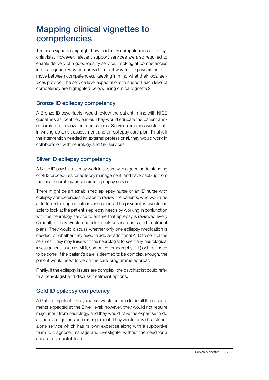### Mapping clinical vignettes to competencies

The case vignettes highlight how to identify competencies of ID psychiatrists. However, relevant support services are also required to enable delivery of a good-quality service. Looking at competencies in a categorical way can provide a pathway for ID psychiatrists to move between competencies, keeping in mind what their local services provide. The service level expectations to support each level of competency are highlighted below, using clinical vignette 2.

### Bronze ID epilepsy competency

A Bronze ID psychiatrist would review the patient in line with NICE guidelines as identified earlier. They would educate the patient and/ or carers and review the medications. Service clinicians would help in writing up a risk assessment and an epilepsy care plan. Finally, if the intervention needed an external professional, they would work in collaboration with neurology and GP services.

### Silver ID epilepsy competency

A Silver ID psychiatrist may work in a team with a good understanding of NHS procedures for epilepsy management, and have back-up from the local neurology or specialist epilepsy service.

There might be an established epilepsy nurse or an ID nurse with epilepsy competencies in place to review the patients, who would be able to order appropriate investigations. The psychiatrist would be able to look at the patient's epilepsy needs by working in conjunction with the neurology service to ensure that epilepsy is reviewed every 6 months. They would undertake risk assessments and treatment plans. They would discuss whether only one epilepsy medication is needed, or whether they need to add an additional AED to control the seizures. They may liaise with the neurologist to see if any neurological investigations, such as MRI, computed tomography (CT) or EEG, need to be done. If the patient's care is deemed to be complex enough, the patient would need to be on the care programme approach.

Finally, if the epilepsy issues are complex, the psychiatrist could refer to a neurologist and discuss treatment options.

### Gold ID epilepsy competency

A Gold competent ID psychiatrist would be able to do all the assessments expected at the Silver level; however, they would not require major input from neurology, and they would have the expertise to do all the investigations and management. They would provide a standalone service which has its own expertise along with a supportive team to diagnose, manage and investigate, without the need for a separate specialist team.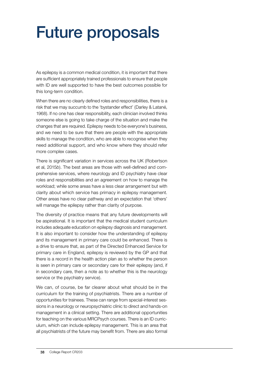# Future proposals

As epilepsy is a common medical condition, it is important that there are sufficient appropriately trained professionals to ensure that people with ID are well supported to have the best outcomes possible for this long-term condition.

When there are no clearly defined roles and responsibilities, there is a risk that we may succumb to the 'bystander effect' (Darley & Latané, 1968). If no one has clear responsibility, each clinician involved thinks someone else is going to take charge of the situation and make the changes that are required. Epilepsy needs to be everyone's business, and we need to be sure that there are people with the appropriate skills to manage the condition, who are able to recognise when they need additional support, and who know where they should refer more complex cases.

There is significant variation in services across the UK (Robertson et al, 2015*b*). The best areas are those with well-defined and comprehensive services, where neurology and ID psychiatry have clear roles and responsibilities and an agreement on how to manage the workload; while some areas have a less clear arrangement but with clarity about which service has primacy in epilepsy management. Other areas have no clear pathway and an expectation that 'others' will manage the epilepsy rather than clarity of purpose.

The diversity of practice means that any future developments will be aspirational. It is important that the medical student curriculum includes adequate education on epilepsy diagnosis and management. It is also important to consider how the understanding of epilepsy and its management in primary care could be enhanced. There is a drive to ensure that, as part of the Directed Enhanced Service for primary care in England, epilepsy is reviewed by the GP and that there is a record in the health action plan as to whether the person is seen in primary care or secondary care for their epilepsy (and, if in secondary care, then a note as to whether this is the neurology service or the psychiatry service).

We can, of course, be far clearer about what should be in the curriculum for the training of psychiatrists. There are a number of opportunities for trainees. These can range from special-interest sessions in a neurology or neuropsychiatric clinic to direct and hands-on management in a clinical setting. There are additional opportunities for teaching on the various MRCPsych courses. There is an ID curriculum, which can include epilepsy management. This is an area that all psychiatrists of the future may benefit from. There are also formal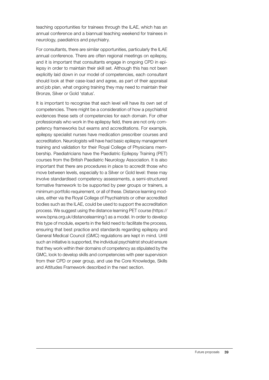teaching opportunities for trainees through the ILAE, which has an annual conference and a biannual teaching weekend for trainees in neurology, paediatrics and psychiatry.

For consultants, there are similar opportunities, particularly the ILAE annual conference. There are often regional meetings on epilepsy, and it is important that consultants engage in ongoing CPD in epilepsy in order to maintain their skill set. Although this has not been explicitly laid down in our model of competencies, each consultant should look at their case-load and agree, as part of their appraisal and job plan, what ongoing training they may need to maintain their Bronze, Silver or Gold 'status'.

It is important to recognise that each level will have its own set of competencies. There might be a consideration of how a psychiatrist evidences these sets of competencies for each domain. For other professionals who work in the epilepsy field, there are not only competency frameworks but exams and accreditations. For example, epilepsy specialist nurses have medication prescriber courses and accreditation. Neurologists will have had basic epilepsy management training and validation for their Royal College of Physicians membership. Paediatricians have the Paediatric Epilepsy Training (PET) courses from the British Paediatric Neurology Association. It is also important that there are procedures in place to accredit those who move between levels, especially to a Silver or Gold level: these may involve standardised competency assessments, a semi-structured formative framework to be supported by peer groups or trainers, a minimum portfolio requirement, or all of these. Distance learning modules, either via the Royal College of Psychiatrists or other accredited bodies such as the ILAE, could be used to support the accreditation process. We suggest using the distance learning PET course (https:// www.bpna.org.uk/distancelearning/) as a model. In order to develop this type of module, experts in the field need to facilitate the process, ensuring that best practice and standards regarding epilepsy and General Medical Council (GMC) regulations are kept in mind. Until such an initiative is supported, the individual psychiatrist should ensure that they work within their domains of competency as stipulated by the GMC, look to develop skills and competencies with peer supervision from their CPD or peer group, and use the Core Knowledge, Skills and Attitudes Framework described in the next section.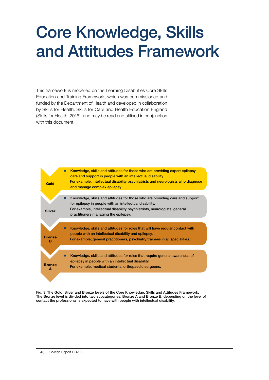# Core Knowledge, Skills and Attitudes Framework

This framework is modelled on the Learning Disabilities Core Skills Education and Training Framework, which was commissioned and funded by the Department of Health and developed in collaboration by Skills for Health, Skills for Care and Health Education England (Skills for Health, 2016), and may be read and utilised in conjunction with this document.



Fig. 3 The Gold, Silver and Bronze levels of the Core Knowledge, Skills and Attitudes Framework. The Bronze level is divided into two subcategories, Bronze A and Bronze B, depending on the level of contact the professional is expected to have with people with intellectual disability.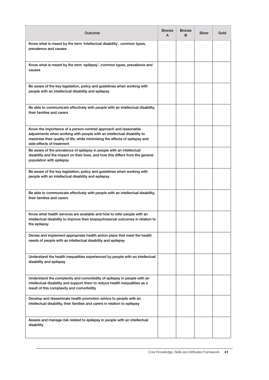| Outcome                                                                                                                                                                                                                                                 | <b>Bronze</b><br>A | <b>Bronze</b><br>B | Silver | Gold |
|---------------------------------------------------------------------------------------------------------------------------------------------------------------------------------------------------------------------------------------------------------|--------------------|--------------------|--------|------|
| Know what is meant by the term 'intellectual disability', common types,<br>prevalence and causes                                                                                                                                                        |                    |                    |        |      |
| Know what is meant by the term 'epilepsy', common types, prevalence and<br>causes                                                                                                                                                                       |                    |                    |        |      |
| Be aware of the key legislation, policy and guidelines when working with<br>people with an intellectual disability and epilepsy                                                                                                                         |                    |                    |        |      |
| Be able to communicate effectively with people with an intellectual disability,<br>their families and carers                                                                                                                                            |                    |                    |        |      |
| Know the importance of a person-centred approach and reasonable<br>adjustments when working with people with an intellectual disability to<br>maximise their quality of life, while minimising the effects of epilepsy and<br>side-effects of treatment |                    |                    |        |      |
| Be aware of the prevalence of epilepsy in people with an intellectual<br>disability and the impact on their lives, and how this differs from the general<br>population with epilepsy                                                                    |                    |                    |        |      |
| Be aware of the key legislation, policy and guidelines when working with<br>people with an intellectual disability and epilepsy                                                                                                                         |                    |                    |        |      |
| Be able to communicate effectively with people with an intellectual disability,<br>their families and carers                                                                                                                                            |                    |                    |        |      |
| Know what health services are available and how to refer people with an<br>intellectual disability to improve their biopsychosocial outcomes in relation to<br>the epilepsy                                                                             |                    |                    |        |      |
| Devise and implement appropriate health action plans that meet the health<br>needs of people with an intellectual disability and epilepsy                                                                                                               |                    |                    |        |      |
| Understand the health inequalities experienced by people with an intellectual<br>disability and epilepsy                                                                                                                                                |                    |                    |        |      |
| Understand the complexity and comorbidity of epilepsy in people with an<br>intellectual disability and support them to reduce health inequalities as a<br>result of this complexity and comorbidity                                                     |                    |                    |        |      |
| Develop and disseminate health promotion advice to people with an<br>intellectual disability, their families and carers in relation to epilepsy                                                                                                         |                    |                    |        |      |
| Assess and manage risk related to epilepsy in people with an intellectual<br>disability                                                                                                                                                                 |                    |                    |        |      |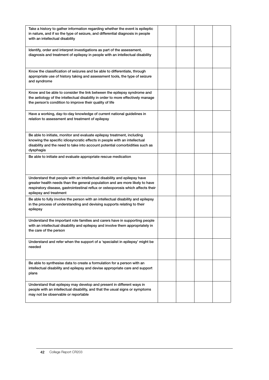| Take a history to gather information regarding whether the event is epileptic<br>in nature, and if so the type of seizure, and differential diagnosis in people<br>with an intellectual disability                                                                     |  |  |
|------------------------------------------------------------------------------------------------------------------------------------------------------------------------------------------------------------------------------------------------------------------------|--|--|
| Identify, order and interpret investigations as part of the assessment,<br>diagnosis and treatment of epilepsy in people with an intellectual disability                                                                                                               |  |  |
| Know the classification of seizures and be able to differentiate, through<br>appropriate use of history taking and assessment tools, the type of seizure<br>and syndrome                                                                                               |  |  |
| Know and be able to consider the link between the epilepsy syndrome and<br>the aetiology of the intellectual disability in order to more effectively manage<br>the person's condition to improve their quality of life                                                 |  |  |
| Have a working, day-to-day knowledge of current national guidelines in<br>relation to assessment and treatment of epilepsy                                                                                                                                             |  |  |
| Be able to initiate, monitor and evaluate epilepsy treatment, including<br>knowing the specific idiosyncratic effects in people with an intellectual<br>disability and the need to take into account potential comorbidities such as<br>dysphagia                      |  |  |
| Be able to initiate and evaluate appropriate rescue medication                                                                                                                                                                                                         |  |  |
| Understand that people with an intellectual disability and epilepsy have<br>greater health needs than the general population and are more likely to have<br>respiratory disease, gastrointestinal reflux or osteoporosis which affects their<br>epilepsy and treatment |  |  |
| Be able to fully involve the person with an intellectual disability and epilepsy<br>in the process of understanding and devising supports relating to their<br>epilepsy                                                                                                |  |  |
| Understand the important role families and carers have in supporting people<br>with an intellectual disability and epilepsy and involve them appropriately in<br>the care of the person                                                                                |  |  |
| Understand and refer when the support of a 'specialist in epilepsy' might be<br>needed                                                                                                                                                                                 |  |  |
| Be able to synthesise data to create a formulation for a person with an<br>intellectual disability and epilepsy and devise appropriate care and support<br>plans                                                                                                       |  |  |
| Understand that epilepsy may develop and present in different ways in<br>people with an intellectual disability, and that the usual signs or symptoms<br>may not be observable or reportable                                                                           |  |  |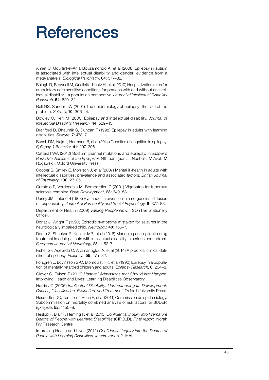## **References**

Amiet C, Gourfinkel-An I, Bouzamondo A, et al (2008) Epilepsy in autism is associated with intellectual disability and gender: evidence from a meta-analysis. *Biological Psychiatry*, 64: 577–82.

Balogh R, Brownell M, Ouellette-Kuntz H, et al (2010) Hospitalization rates for ambulatory care sensitive conditions for persons with and without an intellectual disability – a population perspective. *Journal of Intellectual Disability Research*, 54: 820–32.

Bell GS, Sander JW (2001) The epidemiology of epilepsy: the size of the problem. *Seizure*, 10: 306–14.

Bowley C, Kerr M (2000) Epilepsy and intellectual disability. *Journal of Intellectual Disability Research*, 44: 529–43.

Branford D, Bhaumik S, Duncan F (1998) Epilepsy in adults with learning disabilities. *Seizure*, 7: 473–7.

Busch RM, Najm I, Hermann B, et al (2014) Genetics of cognition in epilepsy. *Epilepsy & Behavior*, 41: 297–306.

Catterall WA (2012) Sodium channel mutations and epilepsy. In *Jasper's Basic Mechanisms of the Epilepsies* (4th edn) (eds JL Noebels, M Avoli, M Rogawski). Oxford University Press.

Cooper S, Smiley E, Morrison J, et al (2007) Mental ill-health in adults with intellectual disabilities: prevalence and associated factors. *British Journal of Psychiatry*, 190: 27–35.

Curatolo P, Verdecchia M, Bombardieri R (2001) Vigabatrin for tuberous sclerosis complex. *Brain Development*, 23: 649–53.

Darley JM, Latané B (1968) Bystander intervention in emergencies: diffusion of responsibility. *Journal of Personality and Social Psychology*, 8: 377–83.

Department of Health (2009) *Valuing People Now*. TSO (The Stationery Office).

Donat J, Wright F (1990) Episodic symptoms mistaken for seizures in the neurologically impaired child. *Neurology*, 40: 156–7.

Doran Z, Shankar R, Keezer MR, et al (2016) Managing anti-epileptic drug treatment in adult patients with intellectual disability: a serious conundrum. *European Journal of Neurology*, 23: 1152–7.

Fisher SF, Acevedo C, Arzimanoglou A, et al (2014) A practical clinical definition of epilepsy. *Epilepsia*, 55: 475–82.

Forsgren L, Edvinsson S-O, Blomquist HK, et al (1990) Epilepsy in a population of mentally retarded children and adults. *Epilepsy Research*, 6: 234–8.

Glover G, Evison F (2013) *Hospital Admissions that Should Not Happen*. Improving Health and Lives: Learning Disabilities Observatory.

Harris JC (2006) *Intellectual Disability: Understanding Its Development, Causes, Classification, Evaluation, and Treatment*. Oxford University Press.

Hesdorffer DC, Tomson T, Benn E, et al (2011) Commission on epidemiology. Subcommission on mortality combined analysis of risk factors for SUDEP. *Epilepsia*, 52: 1150–9.

Heslop P, Blair P, Fleming P, et al (2013) *Confidential Inquiry into Premature Deaths of People with Learning Disabilities* (CIPOLD). *Final report.* Norah Fry Research Centre.

Improving Health and Lives (2012) *Confidential Inquiry into the Deaths of People with Learning Disabilities. Interim report 2.* IHAL*.*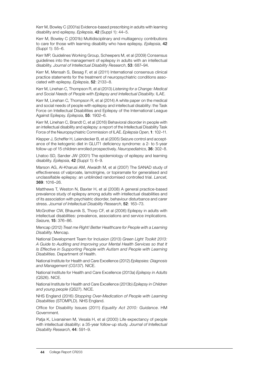Kerr M, Bowley C (2001a) Evidence-based prescribing in adults with learning disability and epilepsy. *Epilepsia*, 42 (Suppl 1): 44–5.

Kerr M, Bowley C (2001b) Multidisciplinary and multiagency contributions to care for those with learning disability who have epilepsy. *Epilepsia*, 42 (Suppl 1): 55–6.

Kerr MP, Guidelines Working Group, Scheepers M, et al (2009) Consensus guidelines into the management of epilepsy in adults with an intellectual disability. *Journal of Intellectual Disability Research*, 53: 687–94.

Kerr M, Mensah S, Besag F, et al (2011) International consensus clinical practice statements for the treatment of neuropsychiatric conditions associated with epilepsy. *Epilepsia*, 52: 2133–8.

Kerr M, Linehan C, Thompson R, et al (2013) *Listening for a Change: Medical and Social Needs of People with Epilepsy and Intellectual Disability*. ILAE.

Kerr M, Linehan C, Thompson R, et al (2014) A white paper on the medical and social needs of people with epilepsy and intellectual disability: the Task Force on Intellectual Disabilities and Epilepsy of the International League Against Epilepsy. *Epilepsia*, 55: 1902–6.

Kerr M, Linehan C, Brandt C, et al (2016) Behavioral disorder in people with an intellectual disability and epilepsy: a report of the Intellectual Disability Task Force of the Neuropsychiatric Commission of ILAE. *Epilepsia Open*, 1: 102–11.

Klepper J, Scheffer H, Leiendecker B, et al (2005) Seizure control and acceptance of the ketogenic diet in GLUT1 deficiency syndrome: a 2- to 5-year follow-up of 15 children enrolled prospectively. *Neuropediatrics*, 36: 302–8.

Lhatoo SD, Sander JW (2001) The epidemiology of epilepsy and learning disability. *Epilepsia*, 42 (Suppl 1): 6–9.

Marson AG, Al-Kharusi AM, Alwaidh M, et al (2007) The SANAD study of effectiveness of valproate, lamotrigine, or topiramate for generalised and unclassifiable epilepsy: an unblinded randomised controlled trial. *Lancet*, 369: 1016–26.

Matthews T, Weston N, Baxter H, et al (2008) A general practice-based prevalence study of epilepsy among adults with intellectual disabilities and of its association with psychiatric disorder, behaviour disturbance and carer stress. *Journal of Intellectual Disability Research*, 52: 163–73.

McGrother CW, Bhaumik S, Thorp CF, et al (2006) Epilepsy in adults with intellectual disabilities: prevalence, associations and service implications. *Seizure*, 15: 376–86.

Mencap (2012) *Treat me Right! Better Healthcare for People with a Learning Disability*. Mencap.

National Development Team for Inclusion (2013) *Green Light Toolkit 2013: A Guide to Auditing and Improving your Mental Health Services so that It*  **Is Effective in Supporting People with Autism and People with Learning** *Disabilities.* Department of Health.

National Institute for Health and Care Excellence (2012) *Epilepsies: Diagnosis and Management* (CG137). NICE.

National Institute for Health and Care Excellence (2013a) *Epilepsy in Adults*  (QS26). NICE.

National Institute for Health and Care Excellence (2013b) *Epilepsy in Children and young people* (QS27). NICE.

NHS England (2016) *Stopping Over-Medication of People with Learning Disabilities* (STOMPLD). NHS England.

Office for Disability Issues (2011) *Equality Act 2010: Guidance*. HM Government.

Patja K, Livanainen M, Vesala H, et al (2000) Life expectancy of people with intellectual disability: a 35-year follow-up study. *Journal of Intellectual Disability Research*, 44: 591–9.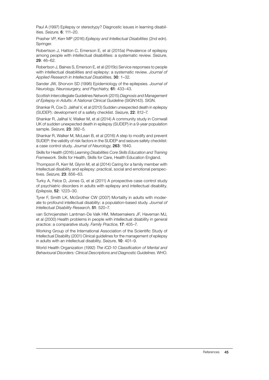Paul A (1997) Epilepsy or stereotypy? Diagnostic issues in learning disabilities. *Seizure*, 6: 111–20.

Prasher VP, Kerr MP (2016) *Epilepsy and Intellectual Disabilities* (2nd edn). Springer.

Robertson J, Hatton C, Emerson E, et al (2015a) Prevalence of epilepsy among people with intellectual disabilities: a systematic review. *Seizure*, 29: 46–62.

Robertson J, Baines S, Emerson E, et al (2015b) Service responses to people with intellectual disabilities and epilepsy: a systematic review. *Journal of Applied Research in Intellectual Disabilities*, 30: 1–32.

Sander JW, Shorvon SD (1996) Epidemiology of the epilepsies. *Journal of Neurology, Neurosurgery, and Psychiatry,* 61: 433–43.

Scottish Intercollegiate Guidelines Network (2015) *Diagnosis and Management of Epilepsy in Adults: A National Clinical Guideline* (SIGN143). SIGN.

Shankar R, Cox D, Jalihal V, et al (2013) Sudden unexpected death in epilepsy (SUDEP): development of a safety checklist. *Seizure*, 22: 812–7.

Shankar R, Jalihal V, Walker M, et al (2014) A community study in Cornwall UK of sudden unexpected death in epilepsy (SUDEP) in a 9-year population sample. *Seizure*, 23: 382–5.

Shankar R, Walker M, McLean B, et al (2016) A step to modify and prevent SUDEP: the validity of risk factors in the SUDEP and seizure safety checklist: a case control study. *Journal of Neurology*, 263: 1840.

Skills for Health (2016) *Learning Disabilities Core Skills Education and Training Framework*. Skills for Health, Skills for Care, Health Education England.

Thompson R, Kerr M, Glynn M, et al (2014) Caring for a family member with intellectual disability and epilepsy: practical, social and emotional perspectives. *Seizure*, 23: 856–63.

Turky A, Felce D, Jones G, et al (2011) A prospective case control study of psychiatric disorders in adults with epilepsy and intellectual disability. *Epilepsia*, 52: 1223–30.

Tyrer F, Smith LK, McGrother CW (2007) Mortality in adults with moderate to profound intellectual disability: a population-based study. *Journal of Intellectual Disability Research*, 51: 520–7.

van Schrojenstein Lantman-De Valk HM, Metsemakers JF, Haveman MJ, et al (2000) Health problems in people with intellectual disability in general practice: a comparative study. *Family Practice*, 17: 405–7.

Working Group of the International Association of the Scientific Study of Intellectual Disability (2001) Clinical guidelines for the management of epilepsy in adults with an intellectual disability. *Seizure*, 10: 401–9.

World Health Organization (1992) *The ICD-10 Classification of Mental and Behavioural Disorders: Clinical Descriptions and Diagnostic Guidelines*. WHO.